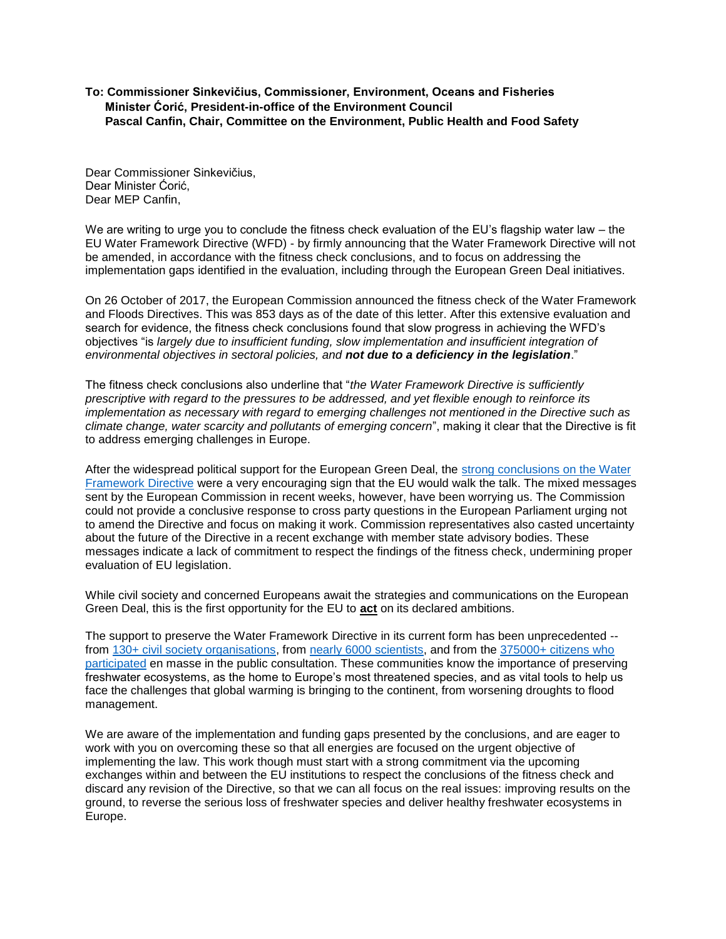## **To: Commissioner Sinkevičius, Commissioner, Environment, Oceans and Fisheries Minister Ćorić, President-in-office of the Environment Council Pascal Canfin, Chair, Committee on the Environment, Public Health and Food Safety**

Dear Commissioner Sinkevičius, Dear Minister Ćorić, Dear MEP Canfin,

We are writing to urge you to conclude the fitness check evaluation of the EU's flagship water law – the EU Water Framework Directive (WFD) - by firmly announcing that the Water Framework Directive will not be amended, in accordance with the fitness check conclusions, and to focus on addressing the implementation gaps identified in the evaluation, including through the European Green Deal initiatives.

On 26 October of 2017, the European Commission announced the fitness check of the Water Framework and Floods Directives. This was 853 days as of the date of this letter. After this extensive evaluation and search for evidence, the fitness check conclusions found that slow progress in achieving the WFD's objectives "is *largely due to insufficient funding, slow implementation and insufficient integration of environmental objectives in sectoral policies, and not due to a deficiency in the legislation*."

The fitness check conclusions also underline that "*the Water Framework Directive is sufficiently prescriptive with regard to the pressures to be addressed, and yet flexible enough to reinforce its implementation as necessary with regard to emerging challenges not mentioned in the Directive such as climate change, water scarcity and pollutants of emerging concern*", making it clear that the Directive is fit to address emerging challenges in Europe.

After the widespread political support for the European Green Deal, the [strong conclusions on the Water](http://www.wwf.eu/?uNewsID=357085)  [Framework Directive](http://www.wwf.eu/?uNewsID=357085) were a very encouraging sign that the EU would walk the talk. The mixed messages sent by the European Commission in recent weeks, however, have been worrying us. The Commission could not provide a conclusive response to cross party questions in the European Parliament urging not to amend the Directive and focus on making it work. Commission representatives also casted uncertainty about the future of the Directive in a recent exchange with member state advisory bodies. These messages indicate a lack of commitment to respect the findings of the fitness check, undermining proper evaluation of EU legislation.

While civil society and concerned Europeans await the strategies and communications on the European Green Deal, this is the first opportunity for the EU to **act** on its declared ambitions.

The support to preserve the Water Framework Directive in its current form has been unprecedented -- from [130+ civil society organisations,](https://www.livingrivers.eu/supporters/support-organisations) from [nearly 6000 scientists,](https://scientists4wfd.com/) and from the 375000+ citizens who [participated](http://www.wwf.eu/wwf_news/media_centre/?uNewsID=344456) en masse in the public consultation. These communities know the importance of preserving freshwater ecosystems, as the home to Europe's most threatened species, and as vital tools to help us face the challenges that global warming is bringing to the continent, from worsening droughts to flood management.

We are aware of the implementation and funding gaps presented by the conclusions, and are eager to work with you on overcoming these so that all energies are focused on the urgent objective of implementing the law. This work though must start with a strong commitment via the upcoming exchanges within and between the EU institutions to respect the conclusions of the fitness check and discard any revision of the Directive, so that we can all focus on the real issues: improving results on the ground, to reverse the serious loss of freshwater species and deliver healthy freshwater ecosystems in Europe.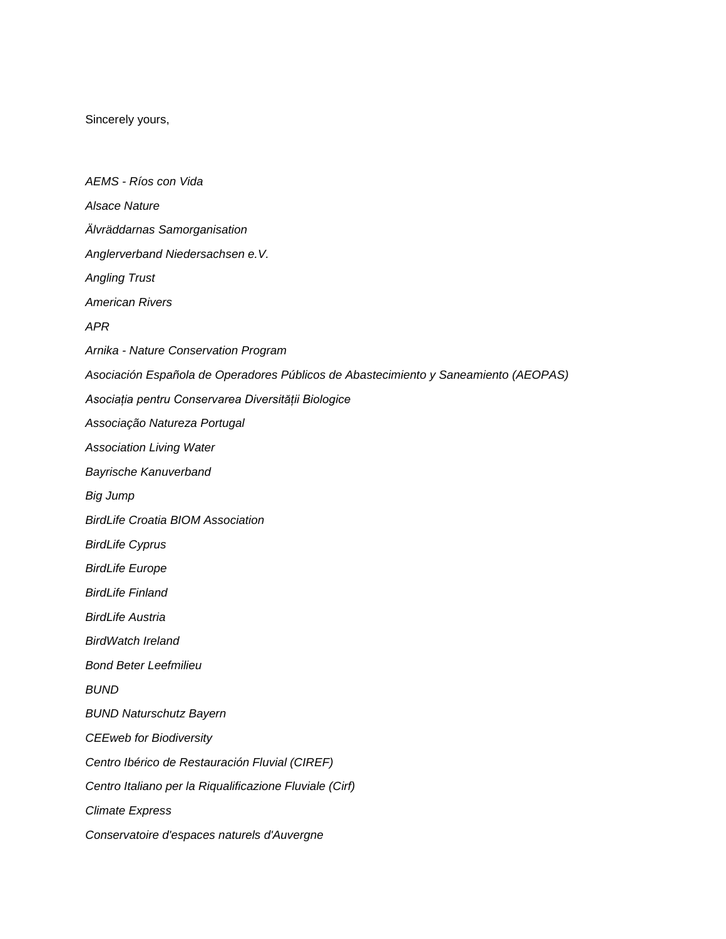Sincerely yours,

*AEMS - Ríos con Vida Alsace Nature Älvräddarnas Samorganisation Anglerverband Niedersachsen e.V. Angling Trust American Rivers APR Arnika - Nature Conservation Program Asociación Española de Operadores Públicos de Abastecimiento y Saneamiento (AEOPAS) Asociația pentru Conservarea Diversității Biologice Associação Natureza Portugal Association Living Water Bayrische Kanuverband Big Jump BirdLife Croatia BIOM Association BirdLife Cyprus BirdLife Europe BirdLife Finland BirdLife Austria BirdWatch Ireland Bond Beter Leefmilieu BUND BUND Naturschutz Bayern CEEweb for Biodiversity Centro Ibérico de Restauración Fluvial (CIREF) Centro Italiano per la Riqualificazione Fluviale (Cirf) Climate Express Conservatoire d'espaces naturels d'Auvergne*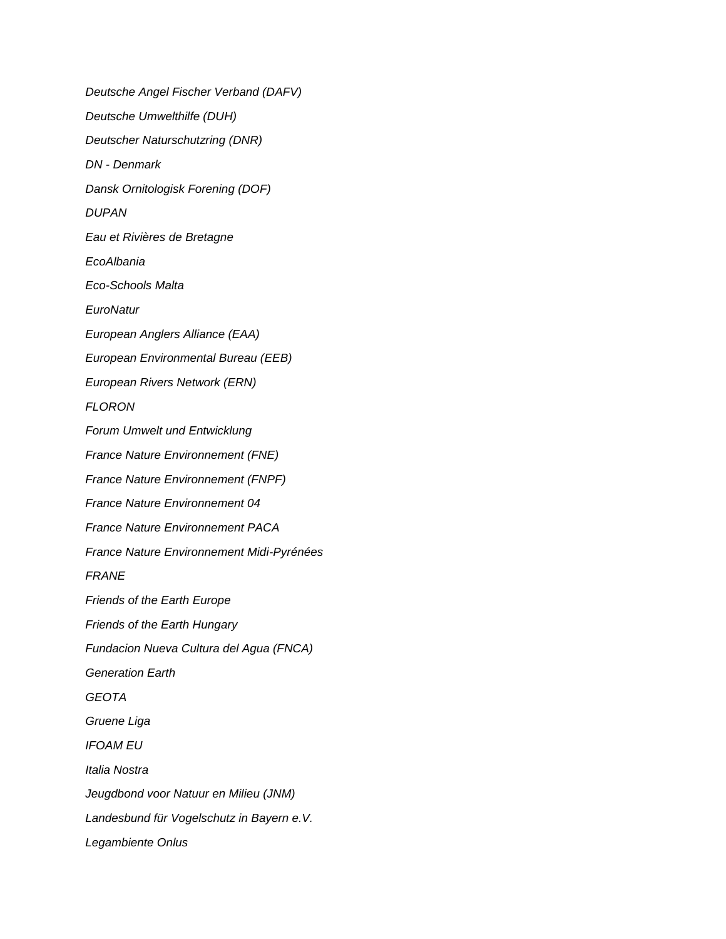*Deutsche Angel Fischer Verband (DAFV) Deutsche Umwelthilfe (DUH) Deutscher Naturschutzring (DNR) DN - Denmark Dansk Ornitologisk Forening (DOF) DUPAN Eau et Rivières de Bretagne EcoAlbania Eco-Schools Malta EuroNatur European Anglers Alliance (EAA) European Environmental Bureau (EEB) European Rivers Network (ERN) FLORON Forum Umwelt und Entwicklung France Nature Environnement (FNE) France Nature Environnement (FNPF) France Nature Environnement 04 France Nature Environnement PACA France Nature Environnement Midi-Pyrénées FRANE Friends of the Earth Europe Friends of the Earth Hungary Fundacion Nueva Cultura del Agua (FNCA) Generation Earth GEOTA Gruene Liga IFOAM EU Italia Nostra Jeugdbond voor Natuur en Milieu (JNM) Landesbund für Vogelschutz in Bayern e.V. Legambiente Onlus*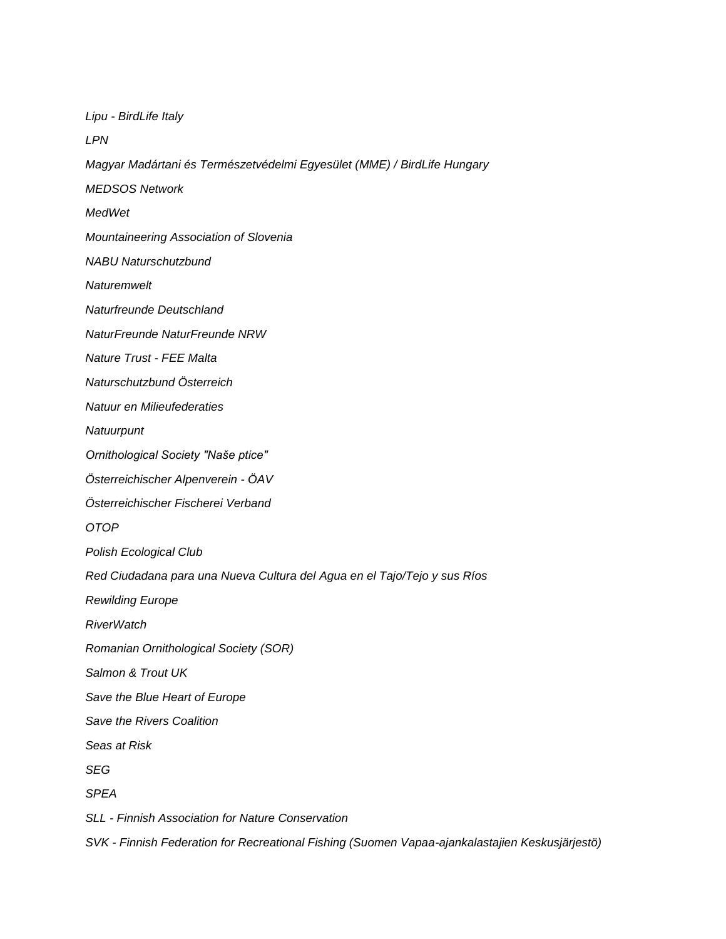*Lipu - BirdLife Italy LPN Magyar Madártani és Természetvédelmi Egyesület (MME) / BirdLife Hungary MEDSOS Network MedWet Mountaineering Association of Slovenia NABU Naturschutzbund Naturemwelt Naturfreunde Deutschland NaturFreunde NaturFreunde NRW Nature Trust - FEE Malta Naturschutzbund Österreich Natuur en Milieufederaties Natuurpunt Ornithological Society "Naše ptice" Österreichischer Alpenverein - ÖAV Österreichischer Fischerei Verband OTOP Polish Ecological Club Red Ciudadana para una Nueva Cultura del Agua en el Tajo/Tejo y sus Ríos Rewilding Europe RiverWatch Romanian Ornithological Society (SOR) Salmon & Trout UK Save the Blue Heart of Europe Save the Rivers Coalition Seas at Risk SEG SPEA SLL - Finnish Association for Nature Conservation SVK - Finnish Federation for Recreational Fishing (Suomen Vapaa-ajankalastajien Keskusjärjestö)*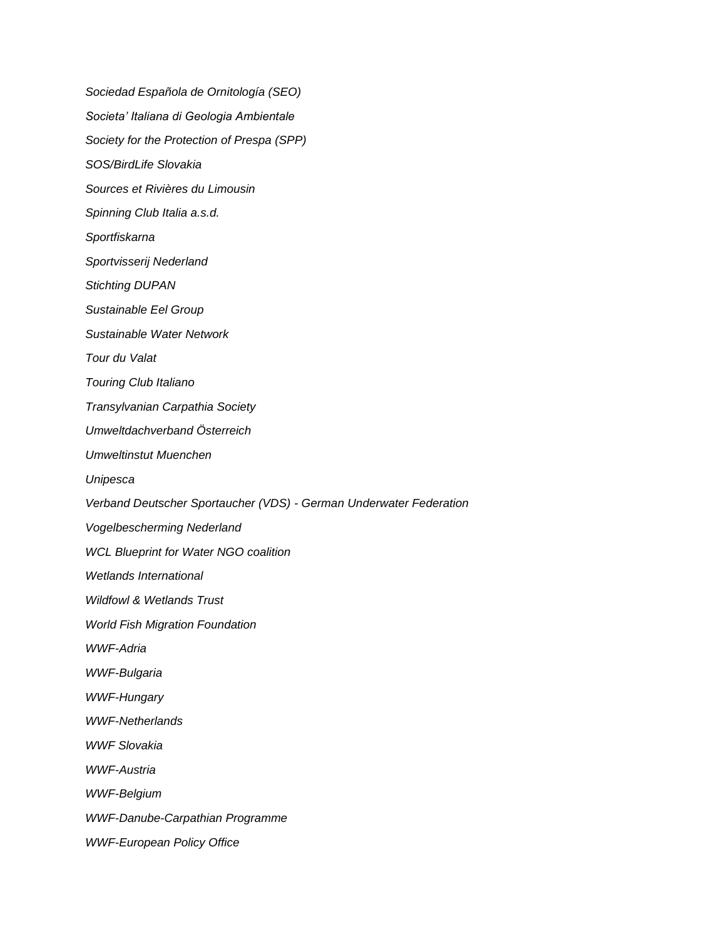*Sociedad Española de Ornitología (SEO) Societa' Italiana di Geologia Ambientale Society for the Protection of Prespa (SPP) SOS/BirdLife Slovakia Sources et Rivières du Limousin Spinning Club Italia a.s.d. Sportfiskarna Sportvisserij Nederland Stichting DUPAN Sustainable Eel Group Sustainable Water Network Tour du Valat Touring Club Italiano Transylvanian Carpathia Society Umweltdachverband Österreich Umweltinstut Muenchen Unipesca Verband Deutscher Sportaucher (VDS) - German Underwater Federation Vogelbescherming Nederland WCL Blueprint for Water NGO coalition Wetlands International Wildfowl & Wetlands Trust World Fish Migration Foundation WWF-Adria WWF-Bulgaria WWF-Hungary WWF-Netherlands WWF Slovakia WWF-Austria WWF-Belgium WWF-Danube-Carpathian Programme WWF-European Policy Office*